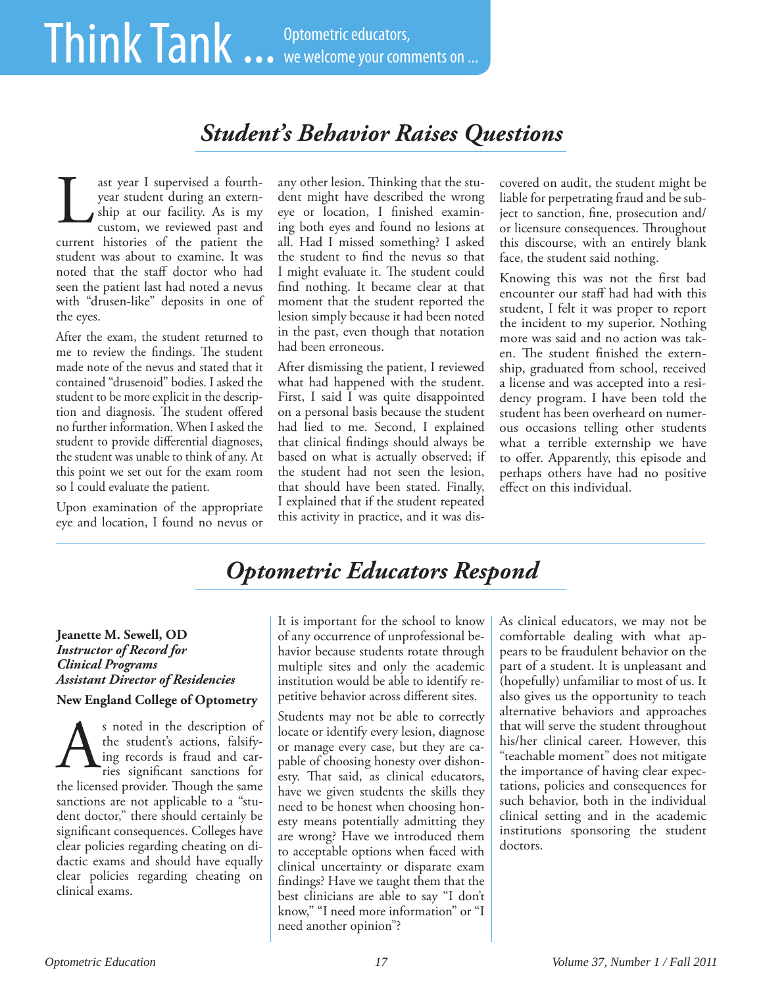# *Student's Behavior Raises Questions*

ast year I supervised a fourthyear student during an externship at our facility. As is my ast year I supervised a fourth-<br>
year student during an extern-<br>
dent might have described the wrong<br>
ship at our facility. As is my eye or location, I finished examin-<br>
custom, we reviewed past and ing both eyes and found current histories of the patient the student was about to examine. It was noted that the staff doctor who had seen the patient last had noted a nevus with "drusen-like" deposits in one of the eyes.

After the exam, the student returned to me to review the findings. The student made note of the nevus and stated that it contained "drusenoid" bodies. I asked the student to be more explicit in the description and diagnosis. The student offered no further information. When I asked the student to provide differential diagnoses, the student was unable to think of any. At this point we set out for the exam room so I could evaluate the patient.

Upon examination of the appropriate eye and location, I found no nevus or

dent might have described the wrong eye or location, I finished examining both eyes and found no lesions at all. Had I missed something? I asked the student to find the nevus so that I might evaluate it. The student could find nothing. It became clear at that moment that the student reported the lesion simply because it had been noted in the past, even though that notation had been erroneous.

After dismissing the patient, I reviewed what had happened with the student. First, I said I was quite disappointed on a personal basis because the student had lied to me. Second, I explained that clinical findings should always be based on what is actually observed; if the student had not seen the lesion, that should have been stated. Finally, I explained that if the student repeated this activity in practice, and it was discovered on audit, the student might be liable for perpetrating fraud and be subject to sanction, fine, prosecution and/ or licensure consequences. Throughout this discourse, with an entirely blank face, the student said nothing.

Knowing this was not the first bad encounter our staff had had with this student, I felt it was proper to report the incident to my superior. Nothing more was said and no action was taken. The student finished the externship, graduated from school, received a license and was accepted into a residency program. I have been told the student has been overheard on numerous occasions telling other students what a terrible externship we have to offer. Apparently, this episode and perhaps others have had no positive effect on this individual.

# *Optometric Educators Respond*

#### **Jeanette M. Sewell, OD** *Instructor of Record for Clinical Programs Assistant Director of Residencies* **New England College of Optometry**

s noted in the description of the student's actions, falsifying records is fraud and carries significant sanctions for the licensed provider. Though the same sanctions are not applicable to a "student doctor," there should certainly be significant consequences. Colleges have clear policies regarding cheating on didactic exams and should have equally clear policies regarding cheating on clinical exams. A

It is important for the school to know of any occurrence of unprofessional behavior because students rotate through multiple sites and only the academic institution would be able to identify repetitive behavior across different sites.

Students may not be able to correctly locate or identify every lesion, diagnose or manage every case, but they are capable of choosing honesty over dishonesty. That said, as clinical educators, have we given students the skills they need to be honest when choosing honesty means potentially admitting they are wrong? Have we introduced them to acceptable options when faced with clinical uncertainty or disparate exam findings? Have we taught them that the best clinicians are able to say "I don't know," "I need more information" or "I need another opinion"?

As clinical educators, we may not be comfortable dealing with what appears to be fraudulent behavior on the part of a student. It is unpleasant and (hopefully) unfamiliar to most of us. It also gives us the opportunity to teach alternative behaviors and approaches that will serve the student throughout his/her clinical career. However, this "teachable moment" does not mitigate the importance of having clear expectations, policies and consequences for such behavior, both in the individual clinical setting and in the academic institutions sponsoring the student doctors.